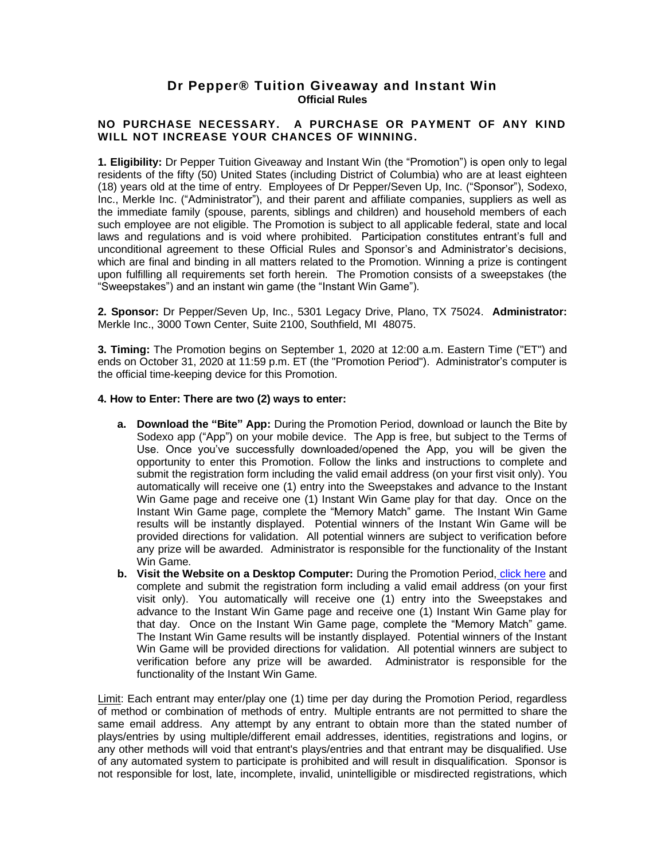## **Dr Pepper® Tuition Giveaway and Instant Win Official Rules**

## **NO PURCHASE NECESSARY. A PURCHASE OR PAYMENT OF ANY KIND WILL NOT INCREASE YOUR CHANCES OF WINNING.**

**1. Eligibility:** Dr Pepper Tuition Giveaway and Instant Win (the "Promotion") is open only to legal residents of the fifty (50) United States (including District of Columbia) who are at least eighteen (18) years old at the time of entry. Employees of Dr Pepper/Seven Up, Inc. ("Sponsor"), Sodexo, Inc., Merkle Inc. ("Administrator"), and their parent and affiliate companies, suppliers as well as the immediate family (spouse, parents, siblings and children) and household members of each such employee are not eligible. The Promotion is subject to all applicable federal, state and local laws and regulations and is void where prohibited. Participation constitutes entrant's full and unconditional agreement to these Official Rules and Sponsor's and Administrator's decisions, which are final and binding in all matters related to the Promotion. Winning a prize is contingent upon fulfilling all requirements set forth herein. The Promotion consists of a sweepstakes (the "Sweepstakes") and an instant win game (the "Instant Win Game").

**2. Sponsor:** Dr Pepper/Seven Up, Inc., 5301 Legacy Drive, Plano, TX 75024. **Administrator:** Merkle Inc., 3000 Town Center, Suite 2100, Southfield, MI 48075.

**3. Timing:** The Promotion begins on September 1, 2020 at 12:00 a.m. Eastern Time ("ET") and ends on October 31, 2020 at 11:59 p.m. ET (the "Promotion Period"). Administrator's computer is the official time-keeping device for this Promotion.

## **4. How to Enter: There are two (2) ways to enter:**

- **a. Download the "Bite" App:** During the Promotion Period, download or launch the Bite by Sodexo app ("App") on your mobile device. The App is free, but subject to the Terms of Use. Once you've successfully downloaded/opened the App, you will be given the opportunity to enter this Promotion. Follow the links and instructions to complete and submit the registration form including the valid email address (on your first visit only). You automatically will receive one (1) entry into the Sweepstakes and advance to the Instant Win Game page and receive one (1) Instant Win Game play for that day. Once on the Instant Win Game page, complete the "Memory Match" game. The Instant Win Game results will be instantly displayed. Potential winners of the Instant Win Game will be provided directions for validation. All potential winners are subject to verification before any prize will be awarded. Administrator is responsible for the functionality of the Instant Win Game.
- **b. Visit the Website on a Desktop Computer:** During the Promotion Period, [click here](https://drpepper.promo.eprize.com/sodexofootball/) and complete and submit the registration form including a valid email address (on your first visit only). You automatically will receive one (1) entry into the Sweepstakes and advance to the Instant Win Game page and receive one (1) Instant Win Game play for that day. Once on the Instant Win Game page, complete the "Memory Match" game. The Instant Win Game results will be instantly displayed. Potential winners of the Instant Win Game will be provided directions for validation. All potential winners are subject to verification before any prize will be awarded. Administrator is responsible for the functionality of the Instant Win Game.

Limit: Each entrant may enter/play one (1) time per day during the Promotion Period, regardless of method or combination of methods of entry. Multiple entrants are not permitted to share the same email address. Any attempt by any entrant to obtain more than the stated number of plays/entries by using multiple/different email addresses, identities, registrations and logins, or any other methods will void that entrant's plays/entries and that entrant may be disqualified. Use of any automated system to participate is prohibited and will result in disqualification. Sponsor is not responsible for lost, late, incomplete, invalid, unintelligible or misdirected registrations, which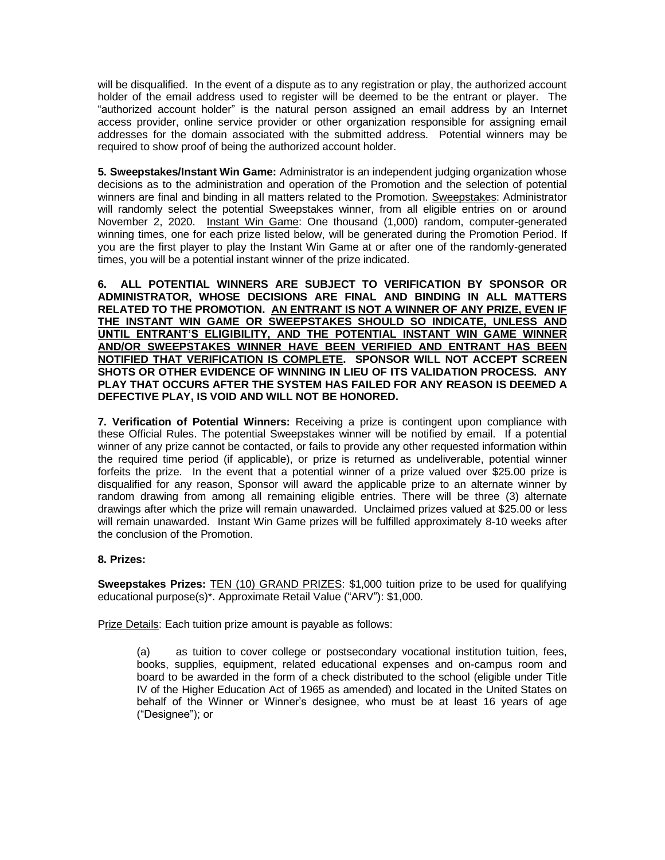will be disqualified. In the event of a dispute as to any registration or play, the authorized account holder of the email address used to register will be deemed to be the entrant or player. The "authorized account holder" is the natural person assigned an email address by an Internet access provider, online service provider or other organization responsible for assigning email addresses for the domain associated with the submitted address. Potential winners may be required to show proof of being the authorized account holder.

**5. Sweepstakes/Instant Win Game:** Administrator is an independent judging organization whose decisions as to the administration and operation of the Promotion and the selection of potential winners are final and binding in all matters related to the Promotion. Sweepstakes: Administrator will randomly select the potential Sweepstakes winner, from all eligible entries on or around November 2, 2020. Instant Win Game: One thousand (1,000) random, computer-generated winning times, one for each prize listed below, will be generated during the Promotion Period. If you are the first player to play the Instant Win Game at or after one of the randomly-generated times, you will be a potential instant winner of the prize indicated.

**6. ALL POTENTIAL WINNERS ARE SUBJECT TO VERIFICATION BY SPONSOR OR ADMINISTRATOR, WHOSE DECISIONS ARE FINAL AND BINDING IN ALL MATTERS RELATED TO THE PROMOTION. AN ENTRANT IS NOT A WINNER OF ANY PRIZE, EVEN IF THE INSTANT WIN GAME OR SWEEPSTAKES SHOULD SO INDICATE, UNLESS AND UNTIL ENTRANT'S ELIGIBILITY, AND THE POTENTIAL INSTANT WIN GAME WINNER AND/OR SWEEPSTAKES WINNER HAVE BEEN VERIFIED AND ENTRANT HAS BEEN NOTIFIED THAT VERIFICATION IS COMPLETE. SPONSOR WILL NOT ACCEPT SCREEN SHOTS OR OTHER EVIDENCE OF WINNING IN LIEU OF ITS VALIDATION PROCESS. ANY PLAY THAT OCCURS AFTER THE SYSTEM HAS FAILED FOR ANY REASON IS DEEMED A DEFECTIVE PLAY, IS VOID AND WILL NOT BE HONORED.**

**7. Verification of Potential Winners:** Receiving a prize is contingent upon compliance with these Official Rules. The potential Sweepstakes winner will be notified by email. If a potential winner of any prize cannot be contacted, or fails to provide any other requested information within the required time period (if applicable), or prize is returned as undeliverable, potential winner forfeits the prize. In the event that a potential winner of a prize valued over \$25.00 prize is disqualified for any reason, Sponsor will award the applicable prize to an alternate winner by random drawing from among all remaining eligible entries. There will be three (3) alternate drawings after which the prize will remain unawarded. Unclaimed prizes valued at \$25.00 or less will remain unawarded. Instant Win Game prizes will be fulfilled approximately 8-10 weeks after the conclusion of the Promotion.

## **8. Prizes:**

**Sweepstakes Prizes:** TEN (10) GRAND PRIZES: \$1,000 tuition prize to be used for qualifying educational purpose(s)\*. Approximate Retail Value ("ARV"): \$1,000.

Prize Details: Each tuition prize amount is payable as follows:

(a) as tuition to cover college or postsecondary vocational institution tuition, fees, books, supplies, equipment, related educational expenses and on-campus room and board to be awarded in the form of a check distributed to the school (eligible under Title IV of the Higher Education Act of 1965 as amended) and located in the United States on behalf of the Winner or Winner's designee, who must be at least 16 years of age ("Designee"); or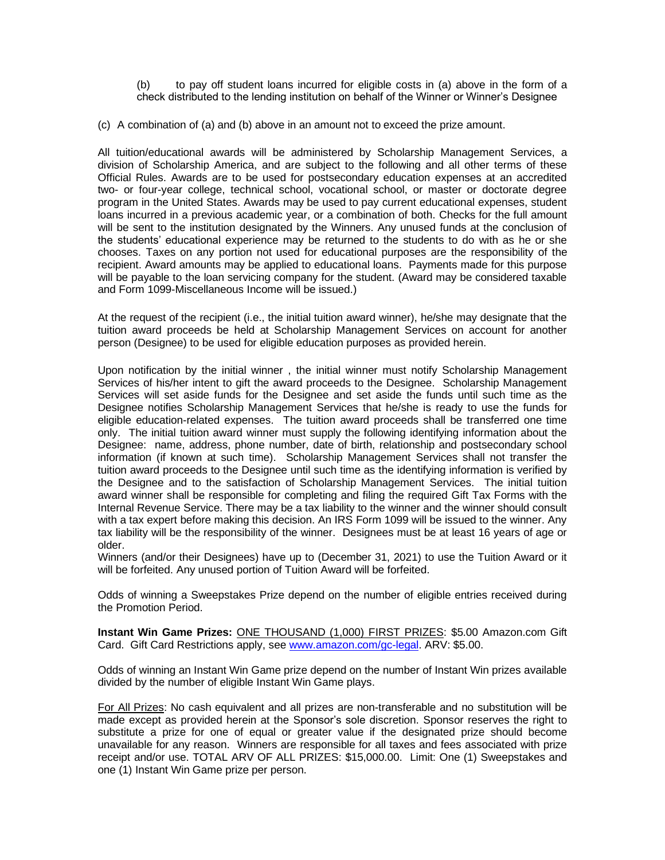(b) to pay off student loans incurred for eligible costs in (a) above in the form of a check distributed to the lending institution on behalf of the Winner or Winner's Designee

(c) A combination of (a) and (b) above in an amount not to exceed the prize amount.

All tuition/educational awards will be administered by Scholarship Management Services, a division of Scholarship America, and are subject to the following and all other terms of these Official Rules. Awards are to be used for postsecondary education expenses at an accredited two- or four-year college, technical school, vocational school, or master or doctorate degree program in the United States. Awards may be used to pay current educational expenses, student loans incurred in a previous academic year, or a combination of both. Checks for the full amount will be sent to the institution designated by the Winners. Any unused funds at the conclusion of the students' educational experience may be returned to the students to do with as he or she chooses. Taxes on any portion not used for educational purposes are the responsibility of the recipient. Award amounts may be applied to educational loans. Payments made for this purpose will be payable to the loan servicing company for the student. (Award may be considered taxable and Form 1099-Miscellaneous Income will be issued.)

At the request of the recipient (i.e., the initial tuition award winner), he/she may designate that the tuition award proceeds be held at Scholarship Management Services on account for another person (Designee) to be used for eligible education purposes as provided herein.

Upon notification by the initial winner , the initial winner must notify Scholarship Management Services of his/her intent to gift the award proceeds to the Designee. Scholarship Management Services will set aside funds for the Designee and set aside the funds until such time as the Designee notifies Scholarship Management Services that he/she is ready to use the funds for eligible education-related expenses. The tuition award proceeds shall be transferred one time only. The initial tuition award winner must supply the following identifying information about the Designee: name, address, phone number, date of birth, relationship and postsecondary school information (if known at such time). Scholarship Management Services shall not transfer the tuition award proceeds to the Designee until such time as the identifying information is verified by the Designee and to the satisfaction of Scholarship Management Services. The initial tuition award winner shall be responsible for completing and filing the required Gift Tax Forms with the Internal Revenue Service. There may be a tax liability to the winner and the winner should consult with a tax expert before making this decision. An IRS Form 1099 will be issued to the winner. Any tax liability will be the responsibility of the winner. Designees must be at least 16 years of age or older.

Winners (and/or their Designees) have up to (December 31, 2021) to use the Tuition Award or it will be forfeited. Any unused portion of Tuition Award will be forfeited.

Odds of winning a Sweepstakes Prize depend on the number of eligible entries received during the Promotion Period.

**Instant Win Game Prizes:** ONE THOUSAND (1,000) FIRST PRIZES: \$5.00 Amazon.com Gift Card. Gift Card Restrictions apply, see [www.amazon.com/gc-legal.](http://www.amazon.com/gc-legal) ARV: \$5.00.

Odds of winning an Instant Win Game prize depend on the number of Instant Win prizes available divided by the number of eligible Instant Win Game plays.

For All Prizes: No cash equivalent and all prizes are non-transferable and no substitution will be made except as provided herein at the Sponsor's sole discretion. Sponsor reserves the right to substitute a prize for one of equal or greater value if the designated prize should become unavailable for any reason. Winners are responsible for all taxes and fees associated with prize receipt and/or use. TOTAL ARV OF ALL PRIZES: \$15,000.00. Limit: One (1) Sweepstakes and one (1) Instant Win Game prize per person.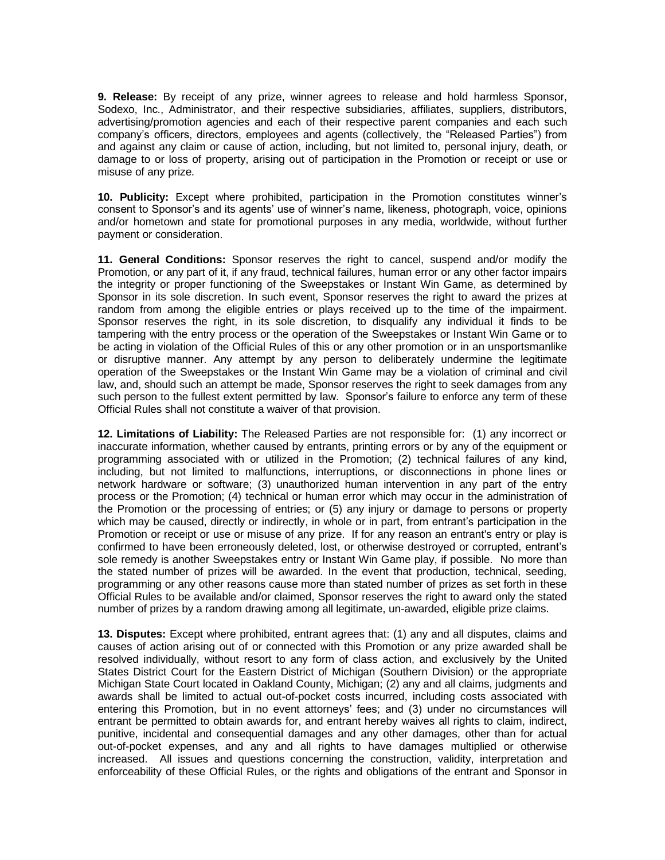**9. Release:** By receipt of any prize, winner agrees to release and hold harmless Sponsor, Sodexo, Inc., Administrator, and their respective subsidiaries, affiliates, suppliers, distributors, advertising/promotion agencies and each of their respective parent companies and each such company's officers, directors, employees and agents (collectively, the "Released Parties") from and against any claim or cause of action, including, but not limited to, personal injury, death, or damage to or loss of property, arising out of participation in the Promotion or receipt or use or misuse of any prize.

**10. Publicity:** Except where prohibited, participation in the Promotion constitutes winner's consent to Sponsor's and its agents' use of winner's name, likeness, photograph, voice, opinions and/or hometown and state for promotional purposes in any media, worldwide, without further payment or consideration.

**11. General Conditions:** Sponsor reserves the right to cancel, suspend and/or modify the Promotion, or any part of it, if any fraud, technical failures, human error or any other factor impairs the integrity or proper functioning of the Sweepstakes or Instant Win Game, as determined by Sponsor in its sole discretion. In such event, Sponsor reserves the right to award the prizes at random from among the eligible entries or plays received up to the time of the impairment. Sponsor reserves the right, in its sole discretion, to disqualify any individual it finds to be tampering with the entry process or the operation of the Sweepstakes or Instant Win Game or to be acting in violation of the Official Rules of this or any other promotion or in an unsportsmanlike or disruptive manner. Any attempt by any person to deliberately undermine the legitimate operation of the Sweepstakes or the Instant Win Game may be a violation of criminal and civil law, and, should such an attempt be made, Sponsor reserves the right to seek damages from any such person to the fullest extent permitted by law. Sponsor's failure to enforce any term of these Official Rules shall not constitute a waiver of that provision.

**12. Limitations of Liability:** The Released Parties are not responsible for: (1) any incorrect or inaccurate information, whether caused by entrants, printing errors or by any of the equipment or programming associated with or utilized in the Promotion; (2) technical failures of any kind, including, but not limited to malfunctions, interruptions, or disconnections in phone lines or network hardware or software; (3) unauthorized human intervention in any part of the entry process or the Promotion; (4) technical or human error which may occur in the administration of the Promotion or the processing of entries; or (5) any injury or damage to persons or property which may be caused, directly or indirectly, in whole or in part, from entrant's participation in the Promotion or receipt or use or misuse of any prize. If for any reason an entrant's entry or play is confirmed to have been erroneously deleted, lost, or otherwise destroyed or corrupted, entrant's sole remedy is another Sweepstakes entry or Instant Win Game play, if possible. No more than the stated number of prizes will be awarded. In the event that production, technical, seeding, programming or any other reasons cause more than stated number of prizes as set forth in these Official Rules to be available and/or claimed, Sponsor reserves the right to award only the stated number of prizes by a random drawing among all legitimate, un-awarded, eligible prize claims.

**13. Disputes:** Except where prohibited, entrant agrees that: (1) any and all disputes, claims and causes of action arising out of or connected with this Promotion or any prize awarded shall be resolved individually, without resort to any form of class action, and exclusively by the United States District Court for the Eastern District of Michigan (Southern Division) or the appropriate Michigan State Court located in Oakland County, Michigan; (2) any and all claims, judgments and awards shall be limited to actual out-of-pocket costs incurred, including costs associated with entering this Promotion, but in no event attorneys' fees; and (3) under no circumstances will entrant be permitted to obtain awards for, and entrant hereby waives all rights to claim, indirect, punitive, incidental and consequential damages and any other damages, other than for actual out-of-pocket expenses, and any and all rights to have damages multiplied or otherwise increased. All issues and questions concerning the construction, validity, interpretation and enforceability of these Official Rules, or the rights and obligations of the entrant and Sponsor in